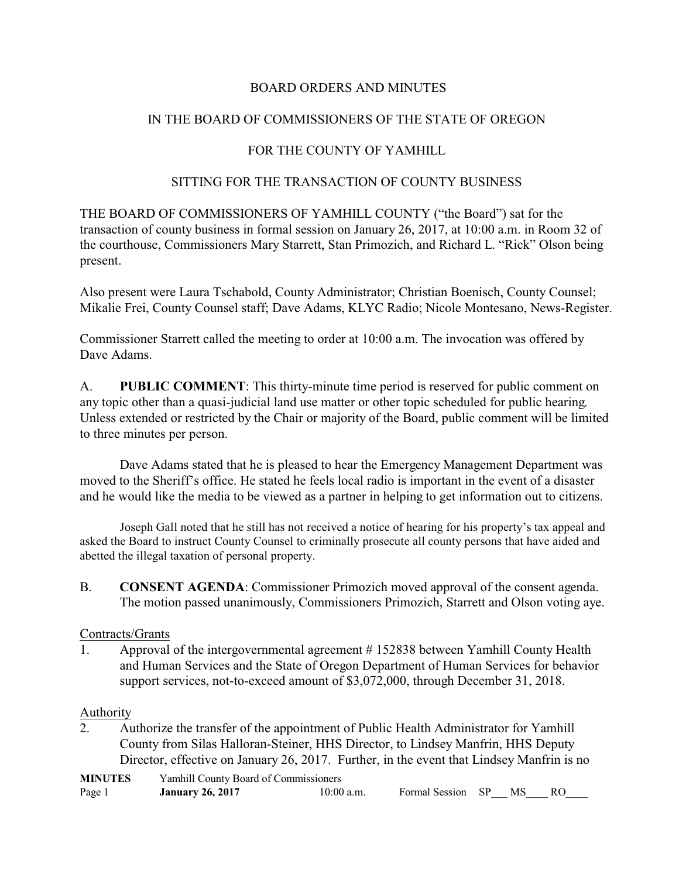### BOARD ORDERS AND MINUTES

### IN THE BOARD OF COMMISSIONERS OF THE STATE OF OREGON

### FOR THE COUNTY OF YAMHILL

#### SITTING FOR THE TRANSACTION OF COUNTY BUSINESS

THE BOARD OF COMMISSIONERS OF YAMHILL COUNTY ("the Board") sat for the transaction of county business in formal session on January 26, 2017, at 10:00 a.m. in Room 32 of the courthouse, Commissioners Mary Starrett, Stan Primozich, and Richard L. "Rick" Olson being present.

Also present were Laura Tschabold, County Administrator; Christian Boenisch, County Counsel; Mikalie Frei, County Counsel staff; Dave Adams, KLYC Radio; Nicole Montesano, News-Register.

Commissioner Starrett called the meeting to order at 10:00 a.m. The invocation was offered by Dave Adams.

A. **PUBLIC COMMENT**: This thirty-minute time period is reserved for public comment on any topic other than a quasi-judicial land use matter or other topic scheduled for public hearing. Unless extended or restricted by the Chair or majority of the Board, public comment will be limited to three minutes per person.

Dave Adams stated that he is pleased to hear the Emergency Management Department was moved to the Sheriff's office. He stated he feels local radio is important in the event of a disaster and he would like the media to be viewed as a partner in helping to get information out to citizens.

Joseph Gall noted that he still has not received a notice of hearing for his property's tax appeal and asked the Board to instruct County Counsel to criminally prosecute all county persons that have aided and abetted the illegal taxation of personal property.

B. **CONSENT AGENDA**: Commissioner Primozich moved approval of the consent agenda. The motion passed unanimously, Commissioners Primozich, Starrett and Olson voting aye.

#### Contracts/Grants

1. Approval of the intergovernmental agreement # 152838 between Yamhill County Health and Human Services and the State of Oregon Department of Human Services for behavior support services, not-to-exceed amount of \$3,072,000, through December 31, 2018.

#### Authority

2. Authorize the transfer of the appointment of Public Health Administrator for Yamhill County from Silas Halloran-Steiner, HHS Director, to Lindsey Manfrin, HHS Deputy Director, effective on January 26, 2017. Further, in the event that Lindsey Manfrin is no

| <b>MINUTES</b> | Yamhill County Board of Commissioners |              |                      |  |  |
|----------------|---------------------------------------|--------------|----------------------|--|--|
| Page 1         | <b>January 26, 2017</b>               | $10:00$ a.m. | Formal Session SP MS |  |  |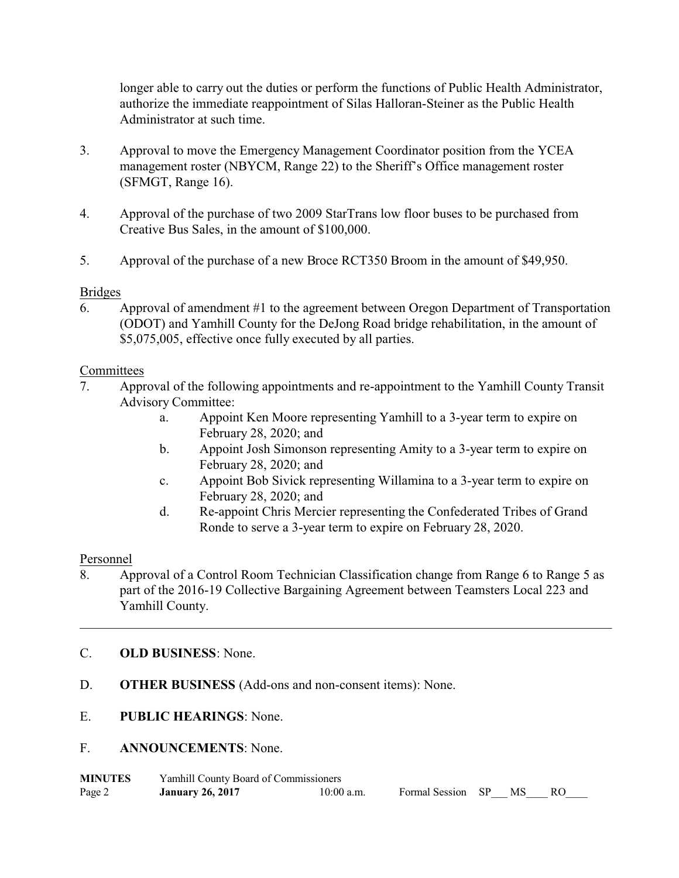longer able to carry out the duties or perform the functions of Public Health Administrator, authorize the immediate reappointment of Silas Halloran-Steiner as the Public Health Administrator at such time.

- 3. Approval to move the Emergency Management Coordinator position from the YCEA management roster (NBYCM, Range 22) to the Sheriff's Office management roster (SFMGT, Range 16).
- 4. Approval of the purchase of two 2009 StarTrans low floor buses to be purchased from Creative Bus Sales, in the amount of \$100,000.
- 5. Approval of the purchase of a new Broce RCT350 Broom in the amount of \$49,950.

### Bridges

6. Approval of amendment #1 to the agreement between Oregon Department of Transportation (ODOT) and Yamhill County for the DeJong Road bridge rehabilitation, in the amount of \$5,075,005, effective once fully executed by all parties.

## **Committees**

- 7. Approval of the following appointments and re-appointment to the Yamhill County Transit Advisory Committee:
	- a. Appoint Ken Moore representing Yamhill to a 3-year term to expire on February 28, 2020; and
	- b. Appoint Josh Simonson representing Amity to a 3-year term to expire on February 28, 2020; and
	- c. Appoint Bob Sivick representing Willamina to a 3-year term to expire on February 28, 2020; and
	- d. Re-appoint Chris Mercier representing the Confederated Tribes of Grand Ronde to serve a 3-year term to expire on February 28, 2020.

### Personnel

8. Approval of a Control Room Technician Classification change from Range 6 to Range 5 as part of the 2016-19 Collective Bargaining Agreement between Teamsters Local 223 and Yamhill County.

\_\_\_\_\_\_\_\_\_\_\_\_\_\_\_\_\_\_\_\_\_\_\_\_\_\_\_\_\_\_\_\_\_\_\_\_\_\_\_\_\_\_\_\_\_\_\_\_\_\_\_\_\_\_\_\_\_\_\_\_\_\_\_\_\_\_\_\_\_\_\_\_\_\_\_\_\_\_\_\_

# C. **OLD BUSINESS**: None.

- D. **OTHER BUSINESS** (Add-ons and non-consent items): None.
- E. **PUBLIC HEARINGS**: None.
- F. **ANNOUNCEMENTS**: None.

| <b>MINUTES</b> | Yamhill County Board of Commissioners |              |                      |  |  |
|----------------|---------------------------------------|--------------|----------------------|--|--|
| Page 2         | <b>January 26, 2017</b>               | $10:00$ a.m. | Formal Session SP MS |  |  |